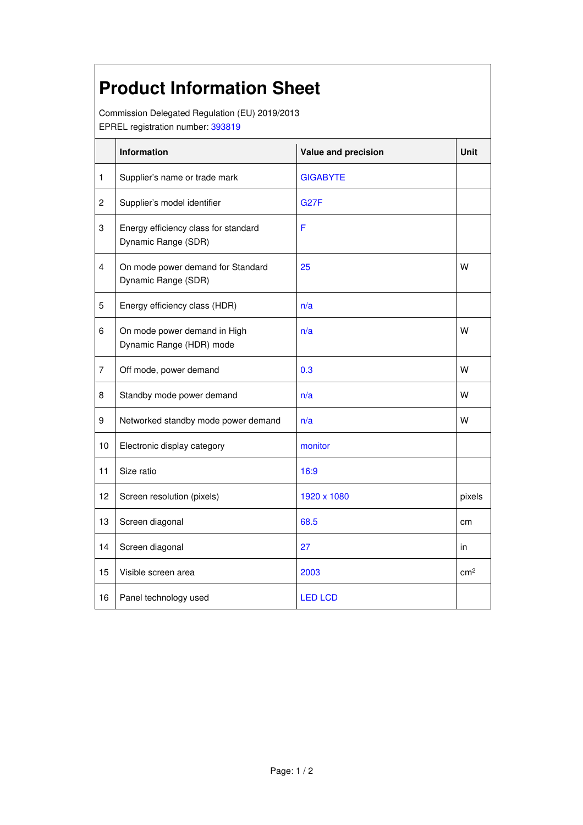## **Product Information Sheet**

Commission Delegated Regulation (EU) 2019/2013 EPREL registration number: 393819

|                | Information                                                 | Value and precision | <b>Unit</b>     |
|----------------|-------------------------------------------------------------|---------------------|-----------------|
| 1              | Supplier's name or trade mark                               | <b>GIGABYTE</b>     |                 |
| $\overline{c}$ | Supplier's model identifier                                 | <b>G27F</b>         |                 |
| 3              | Energy efficiency class for standard<br>Dynamic Range (SDR) | F                   |                 |
| 4              | On mode power demand for Standard<br>Dynamic Range (SDR)    | 25                  | W               |
| 5              | Energy efficiency class (HDR)                               | n/a                 |                 |
| 6              | On mode power demand in High<br>Dynamic Range (HDR) mode    | n/a                 | W               |
| $\overline{7}$ | Off mode, power demand                                      | 0.3                 | w               |
| 8              | Standby mode power demand                                   | n/a                 | w               |
| 9              | Networked standby mode power demand                         | n/a                 | w               |
| 10             | Electronic display category                                 | monitor             |                 |
| 11             | Size ratio                                                  | 16:9                |                 |
| 12             | Screen resolution (pixels)                                  | 1920 x 1080         | pixels          |
| 13             | Screen diagonal                                             | 68.5                | cm              |
| 14             | Screen diagonal                                             | 27                  | in              |
| 15             | Visible screen area                                         | 2003                | cm <sup>2</sup> |
| 16             | Panel technology used                                       | <b>LED LCD</b>      |                 |